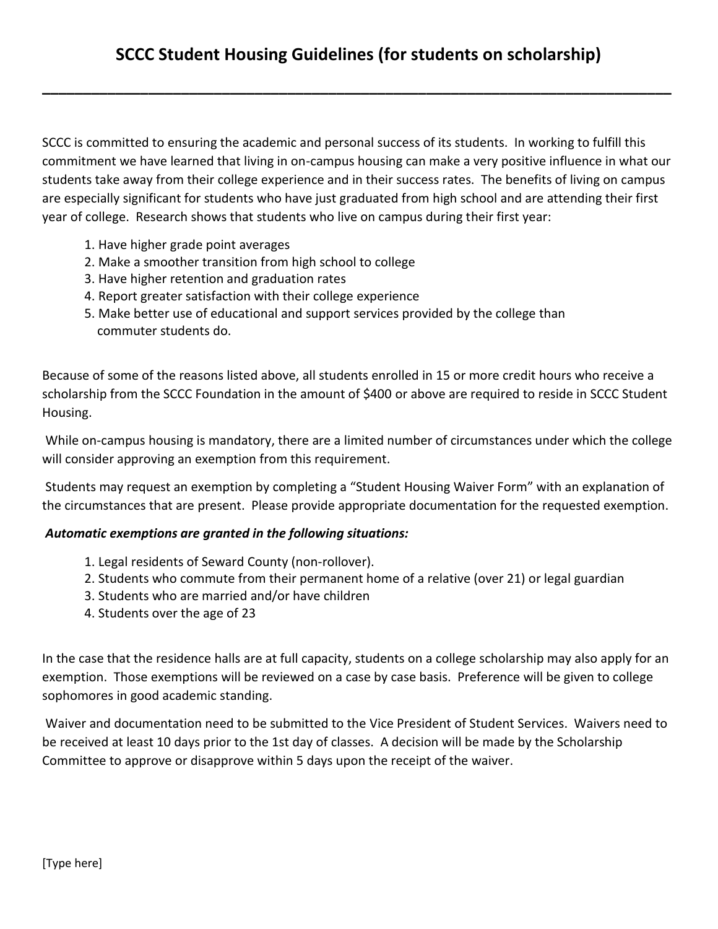**\_\_\_\_\_\_\_\_\_\_\_\_\_\_\_\_\_\_\_\_\_\_\_\_\_\_\_\_\_\_\_\_\_\_\_\_\_\_\_\_\_\_\_\_\_\_\_\_\_\_\_\_\_\_\_\_\_\_\_\_\_\_\_\_\_\_\_\_\_\_\_\_\_\_\_\_\_**

SCCC is committed to ensuring the academic and personal success of its students. In working to fulfill this commitment we have learned that living in on-campus housing can make a very positive influence in what our students take away from their college experience and in their success rates. The benefits of living on campus are especially significant for students who have just graduated from high school and are attending their first year of college. Research shows that students who live on campus during their first year:

- 1. Have higher grade point averages
- 2. Make a smoother transition from high school to college
- 3. Have higher retention and graduation rates
- 4. Report greater satisfaction with their college experience
- 5. Make better use of educational and support services provided by the college than commuter students do.

Because of some of the reasons listed above, all students enrolled in 15 or more credit hours who receive a scholarship from the SCCC Foundation in the amount of \$400 or above are required to reside in SCCC Student Housing.

While on-campus housing is mandatory, there are a limited number of circumstances under which the college will consider approving an exemption from this requirement.

Students may request an exemption by completing a "Student Housing Waiver Form" with an explanation of the circumstances that are present. Please provide appropriate documentation for the requested exemption.

## *Automatic exemptions are granted in the following situations:*

- 1. Legal residents of Seward County (non-rollover).
- 2. Students who commute from their permanent home of a relative (over 21) or legal guardian
- 3. Students who are married and/or have children
- 4. Students over the age of 23

In the case that the residence halls are at full capacity, students on a college scholarship may also apply for an exemption. Those exemptions will be reviewed on a case by case basis. Preference will be given to college sophomores in good academic standing.

Waiver and documentation need to be submitted to the Vice President of Student Services. Waivers need to be received at least 10 days prior to the 1st day of classes. A decision will be made by the Scholarship Committee to approve or disapprove within 5 days upon the receipt of the waiver.